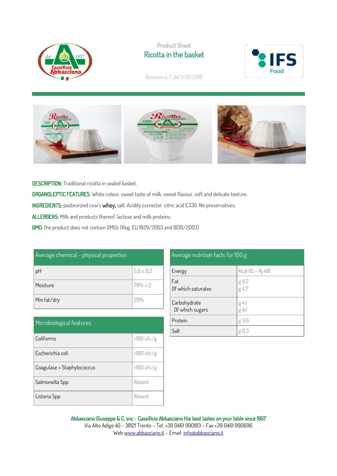

## Product Sheet Ricotta in the basket



Revision n. 7 del 11/12/2019



DESCRIPTION: Traditional ricotta in sealed basket. ORGANOLEPTIC FEATURES: White colour, sweet taste of milk, sweet flavour, soft and delicate texture. INGREDIENTS: pasteurized cow's whey, salt. Acidity corrector: citric acid E330. No preservatives. ALLERGENS: Milk and products thereof, lactose and milk proteins. GMO: the product does not contain GMOs (Reg. EU 1829/2003 and 1830/2003)

| Average chemical - physical properties |               |  |
|----------------------------------------|---------------|--|
| pH                                     | $5.9 \pm 0.2$ |  |
| Moisture                               | $78% \pm 2$   |  |
| Min fat/dry                            | 29%           |  |

| Microbiological features   |              |  |
|----------------------------|--------------|--|
| Coliforms                  | $<100$ ufc/g |  |
| Escherichia coli           | $<100$ ufc/g |  |
| Coagulase + Staphylococcus | $<100$ ufc/g |  |
| Salmonella Spp             | Absent       |  |
| Listeria Spp               | Absent       |  |

| Average nutrition facts for 100 g |                         |  |
|-----------------------------------|-------------------------|--|
| Energy                            | Kcal 115 - Kj 481       |  |
| Fat<br>Of which saturates         | g 6,7<br>g 4,7          |  |
| Carbohydrate<br>Of which sugars   | g 4,1<br>g 4,1          |  |
| Protein                           | g 9,6                   |  |
| Salt                              | $\lfloor \cdot \rfloor$ |  |

Abbasciano Giuseppe & C. snc - Caseificio Abbasciano the best tastes on your table since 1957 Via Alto Adige 40 - 38121 Trento – Tel. +39 0461 990183 – Fax +39 0461 990696 We[b www.abbasciano.it](http://www.abbasciano.it/) – Email[: info@abbasciano.it](mailto:info@abbasciano.it)